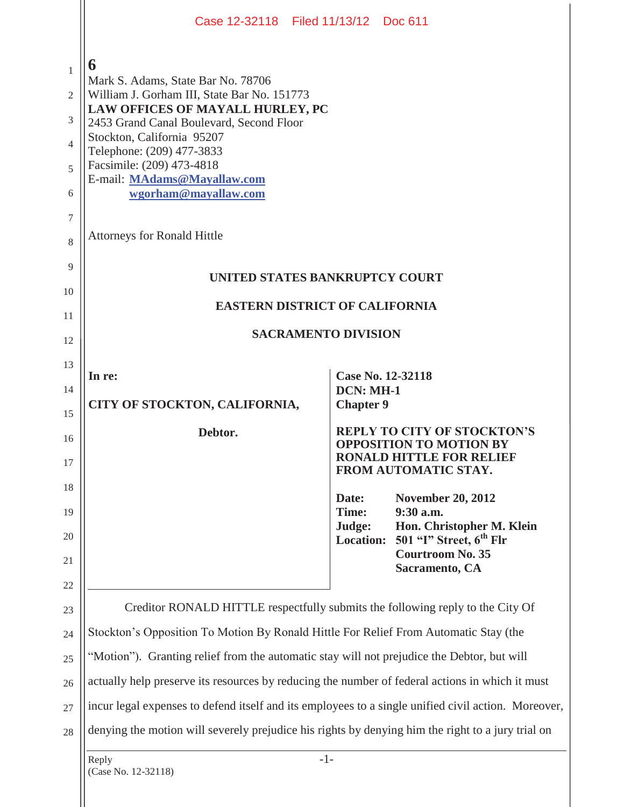|                                      | Case 12-32118 Filed 11/13/12 Doc 611                                                                                                                                                                                                                                                                                                                        |                                      |                                                                      |  |
|--------------------------------------|-------------------------------------------------------------------------------------------------------------------------------------------------------------------------------------------------------------------------------------------------------------------------------------------------------------------------------------------------------------|--------------------------------------|----------------------------------------------------------------------|--|
| 1<br>2<br>3<br>4<br>5<br>6<br>7<br>8 | 6<br>Mark S. Adams, State Bar No. 78706<br>William J. Gorham III, State Bar No. 151773<br>LAW OFFICES OF MAYALL HURLEY, PC<br>2453 Grand Canal Boulevard, Second Floor<br>Stockton, California 95207<br>Telephone: (209) 477-3833<br>Facsimile: (209) 473-4818<br>E-mail: MAdams@Mayallaw.com<br>wgorham@mayallaw.com<br><b>Attorneys for Ronald Hittle</b> |                                      |                                                                      |  |
| 9                                    |                                                                                                                                                                                                                                                                                                                                                             |                                      |                                                                      |  |
| 10                                   | UNITED STATES BANKRUPTCY COURT                                                                                                                                                                                                                                                                                                                              |                                      |                                                                      |  |
| 11                                   | <b>EASTERN DISTRICT OF CALIFORNIA</b>                                                                                                                                                                                                                                                                                                                       |                                      |                                                                      |  |
| 12                                   | <b>SACRAMENTO DIVISION</b>                                                                                                                                                                                                                                                                                                                                  |                                      |                                                                      |  |
| 13                                   | In re:                                                                                                                                                                                                                                                                                                                                                      |                                      | Case No. 12-32118                                                    |  |
| 14                                   | CITY OF STOCKTON, CALIFORNIA,                                                                                                                                                                                                                                                                                                                               | <b>DCN: MH-1</b><br><b>Chapter 9</b> |                                                                      |  |
| 15<br>16                             | Debtor.                                                                                                                                                                                                                                                                                                                                                     |                                      | <b>REPLY TO CITY OF STOCKTON'S</b><br><b>OPPOSITION TO MOTION BY</b> |  |
| 17                                   |                                                                                                                                                                                                                                                                                                                                                             |                                      | <b>RONALD HITTLE FOR RELIEF</b><br>FROM AUTOMATIC STAY.              |  |
| 18                                   |                                                                                                                                                                                                                                                                                                                                                             | Date:                                | <b>November 20, 2012</b>                                             |  |
| 19<br>20                             |                                                                                                                                                                                                                                                                                                                                                             | Time:<br>Judge:<br><b>Location:</b>  | 9:30 a.m.<br>Hon. Christopher M. Klein<br>501 "I" Street, $6th$ Flr  |  |
| 21                                   |                                                                                                                                                                                                                                                                                                                                                             |                                      | <b>Courtroom No. 35</b><br>Sacramento, CA                            |  |
| 22                                   |                                                                                                                                                                                                                                                                                                                                                             |                                      |                                                                      |  |
| 23                                   | Creditor RONALD HITTLE respectfully submits the following reply to the City Of                                                                                                                                                                                                                                                                              |                                      |                                                                      |  |
| 24                                   | Stockton's Opposition To Motion By Ronald Hittle For Relief From Automatic Stay (the                                                                                                                                                                                                                                                                        |                                      |                                                                      |  |
| 25                                   | "Motion"). Granting relief from the automatic stay will not prejudice the Debtor, but will                                                                                                                                                                                                                                                                  |                                      |                                                                      |  |
| 26                                   | actually help preserve its resources by reducing the number of federal actions in which it must                                                                                                                                                                                                                                                             |                                      |                                                                      |  |
| 27                                   | incur legal expenses to defend itself and its employees to a single unified civil action. Moreover,                                                                                                                                                                                                                                                         |                                      |                                                                      |  |
| 28                                   | denying the motion will severely prejudice his rights by denying him the right to a jury trial on                                                                                                                                                                                                                                                           |                                      |                                                                      |  |
|                                      | $-1-$<br>Reply<br>(Case No. 12-32118)                                                                                                                                                                                                                                                                                                                       |                                      |                                                                      |  |
|                                      |                                                                                                                                                                                                                                                                                                                                                             |                                      |                                                                      |  |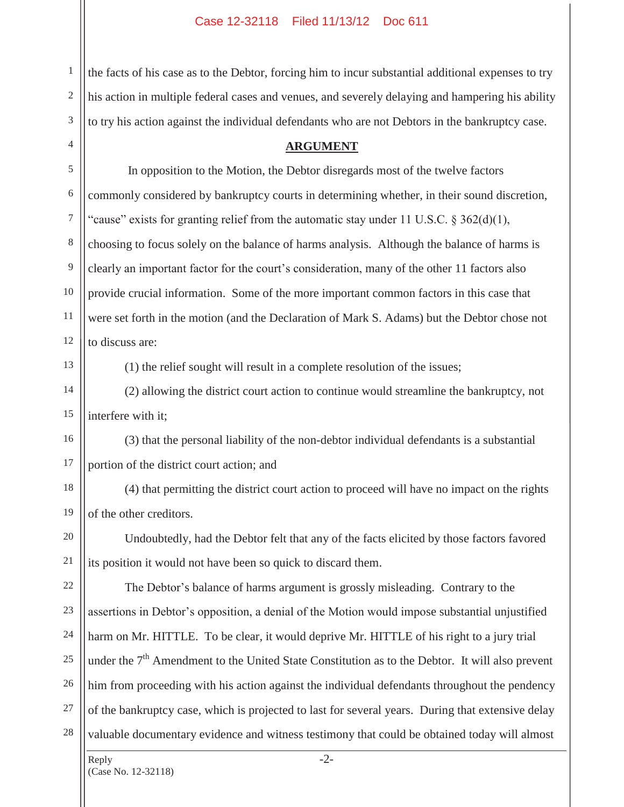the facts of his case as to the Debtor, forcing him to incur substantial additional expenses to try his action in multiple federal cases and venues, and severely delaying and hampering his ability to try his action against the individual defendants who are not Debtors in the bankruptcy case.

## **ARGUMENT**

5 6 7 8 10 11 12 In opposition to the Motion, the Debtor disregards most of the twelve factors commonly considered by bankruptcy courts in determining whether, in their sound discretion, "cause" exists for granting relief from the automatic stay under 11 U.S.C.  $\S 362(d)(1)$ , choosing to focus solely on the balance of harms analysis. Although the balance of harms is clearly an important factor for the court's consideration, many of the other 11 factors also provide crucial information. Some of the more important common factors in this case that were set forth in the motion (and the Declaration of Mark S. Adams) but the Debtor chose not to discuss are:

13

14

15

17

18

19

20

21

9

1

2

3

4

(1) the relief sought will result in a complete resolution of the issues;

 (2) allowing the district court action to continue would streamline the bankruptcy, not interfere with it;

16 (3) that the personal liability of the non-debtor individual defendants is a substantial portion of the district court action; and

 (4) that permitting the district court action to proceed will have no impact on the rights of the other creditors.

 Undoubtedly, had the Debtor felt that any of the facts elicited by those factors favored its position it would not have been so quick to discard them.

22 23 24 25 26 27 28 The Debtor's balance of harms argument is grossly misleading. Contrary to the assertions in Debtor's opposition, a denial of the Motion would impose substantial unjustified harm on Mr. HITTLE. To be clear, it would deprive Mr. HITTLE of his right to a jury trial under the  $7<sup>th</sup>$  Amendment to the United State Constitution as to the Debtor. It will also prevent him from proceeding with his action against the individual defendants throughout the pendency of the bankruptcy case, which is projected to last for several years. During that extensive delay valuable documentary evidence and witness testimony that could be obtained today will almost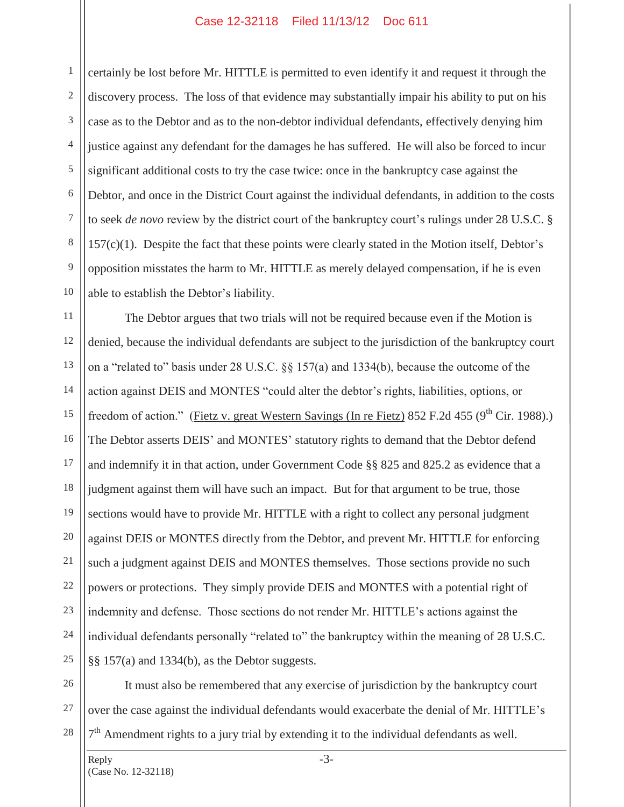## Case 12-32118 Filed 11/13/12 Doc 611

1 2 3 4 5 6 7 8 9 10 certainly be lost before Mr. HITTLE is permitted to even identify it and request it through the discovery process. The loss of that evidence may substantially impair his ability to put on his case as to the Debtor and as to the non-debtor individual defendants, effectively denying him justice against any defendant for the damages he has suffered. He will also be forced to incur significant additional costs to try the case twice: once in the bankruptcy case against the Debtor, and once in the District Court against the individual defendants, in addition to the costs to seek *de novo* review by the district court of the bankruptcy court's rulings under 28 U.S.C. § 157(c)(1). Despite the fact that these points were clearly stated in the Motion itself, Debtor's opposition misstates the harm to Mr. HITTLE as merely delayed compensation, if he is even able to establish the Debtor's liability.

11 12 13 14 15 16 17 18 19 20 21 22 23 24 25 The Debtor argues that two trials will not be required because even if the Motion is denied, because the individual defendants are subject to the jurisdiction of the bankruptcy court on a "related to" basis under 28 U.S.C. §§ 157(a) and 1334(b), because the outcome of the action against DEIS and MONTES "could alter the debtor's rights, liabilities, options, or freedom of action." (Fietz v. great Western Savings (In re Fietz) 852 F.2d 455 (9<sup>th</sup> Cir. 1988).) The Debtor asserts DEIS' and MONTES' statutory rights to demand that the Debtor defend and indemnify it in that action, under Government Code §§ 825 and 825.2 as evidence that a judgment against them will have such an impact. But for that argument to be true, those sections would have to provide Mr. HITTLE with a right to collect any personal judgment against DEIS or MONTES directly from the Debtor, and prevent Mr. HITTLE for enforcing such a judgment against DEIS and MONTES themselves. Those sections provide no such powers or protections. They simply provide DEIS and MONTES with a potential right of indemnity and defense. Those sections do not render Mr. HITTLE's actions against the individual defendants personally "related to" the bankruptcy within the meaning of 28 U.S.C. §§ 157(a) and 1334(b), as the Debtor suggests.

26 27

28

 It must also be remembered that any exercise of jurisdiction by the bankruptcy court over the case against the individual defendants would exacerbate the denial of Mr. HITTLE's  $7<sup>th</sup>$  Amendment rights to a jury trial by extending it to the individual defendants as well.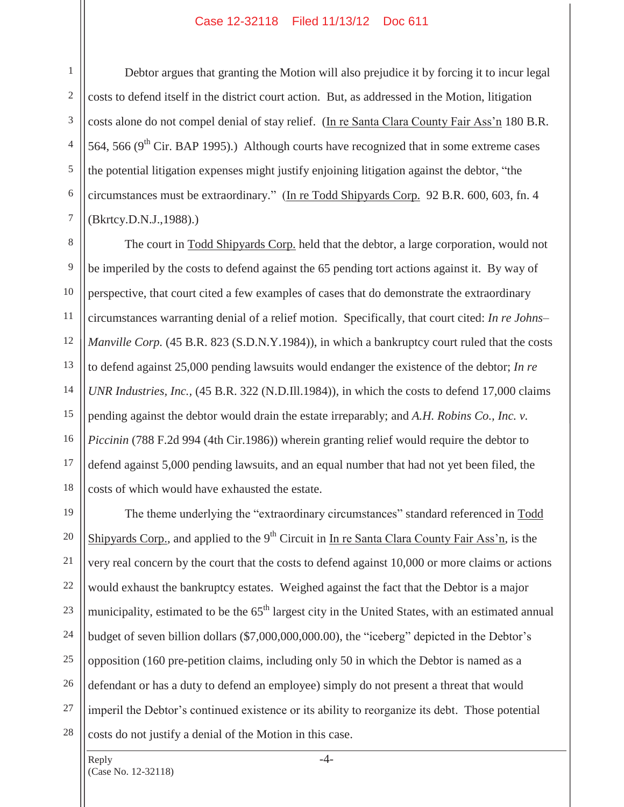## Case 12-32118 Filed 11/13/12 Doc 611

Debtor argues that granting the Motion will also prejudice it by forcing it to incur legal costs to defend itself in the district court action. But, as addressed in the Motion, litigation costs alone do not compel denial of stay relief. (In re Santa Clara County Fair Ass'n 180 B.R. 564, 566 ( $9<sup>th</sup>$  Cir. BAP 1995).) Although courts have recognized that in some extreme cases the potential litigation expenses might justify enjoining litigation against the debtor, "the circumstances must be extraordinary." (In re Todd Shipyards Corp. 92 B.R. 600, 603, fn. 4 (Bkrtcy.D.N.J.,1988).)

15 16 17 18 The court in Todd Shipyards Corp. held that the debtor, a large corporation, would not be imperiled by the costs to defend against the 65 pending tort actions against it. By way of perspective, that court cited a few examples of cases that do demonstrate the extraordinary circumstances warranting denial of a relief motion. Specifically, that court cited: *In re Johns– Manville Corp.* (45 B.R. 823 (S.D.N.Y.1984)), in which a bankruptcy court ruled that the costs to defend against 25,000 pending lawsuits would endanger the existence of the debtor; *In re UNR Industries, Inc.,* (45 B.R. 322 (N.D.Ill.1984)), in which the costs to defend 17,000 claims pending against the debtor would drain the estate irreparably; and *A.H. Robins Co., Inc. v. Piccinin* (788 F.2d 994 (4th Cir.1986)) wherein granting relief would require the debtor to defend against 5,000 pending lawsuits, and an equal number that had not yet been filed, the costs of which would have exhausted the estate.

19 20 21 22 23 24 25 26 27 28 The theme underlying the "extraordinary circumstances" standard referenced in Todd Shipyards Corp., and applied to the  $9<sup>th</sup>$  Circuit in In re Santa Clara County Fair Ass'n, is the very real concern by the court that the costs to defend against 10,000 or more claims or actions would exhaust the bankruptcy estates. Weighed against the fact that the Debtor is a major municipality, estimated to be the 65<sup>th</sup> largest city in the United States, with an estimated annual budget of seven billion dollars (\$7,000,000,000.00), the "iceberg" depicted in the Debtor's opposition (160 pre-petition claims, including only 50 in which the Debtor is named as a defendant or has a duty to defend an employee) simply do not present a threat that would imperil the Debtor's continued existence or its ability to reorganize its debt. Those potential costs do not justify a denial of the Motion in this case.

1

2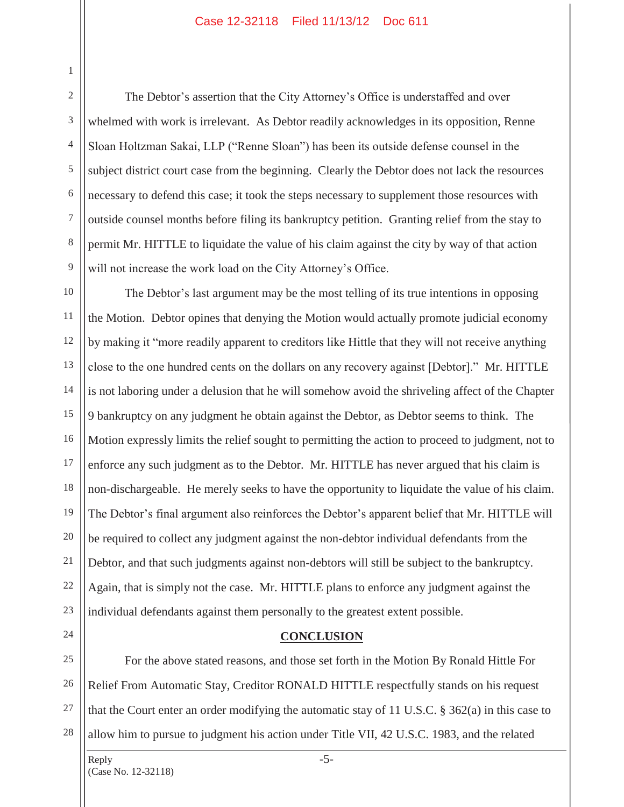## Case 12-32118 Filed 11/13/12 Doc 611

 The Debtor's assertion that the City Attorney's Office is understaffed and over whelmed with work is irrelevant. As Debtor readily acknowledges in its opposition, Renne Sloan Holtzman Sakai, LLP ("Renne Sloan") has been its outside defense counsel in the subject district court case from the beginning. Clearly the Debtor does not lack the resources necessary to defend this case; it took the steps necessary to supplement those resources with outside counsel months before filing its bankruptcy petition. Granting relief from the stay to permit Mr. HITTLE to liquidate the value of his claim against the city by way of that action will not increase the work load on the City Attorney's Office.

10 11 12 13 14 15 16 17 18 19 20 21 22 23 The Debtor's last argument may be the most telling of its true intentions in opposing the Motion. Debtor opines that denying the Motion would actually promote judicial economy by making it "more readily apparent to creditors like Hittle that they will not receive anything close to the one hundred cents on the dollars on any recovery against [Debtor]." Mr. HITTLE is not laboring under a delusion that he will somehow avoid the shriveling affect of the Chapter 9 bankruptcy on any judgment he obtain against the Debtor, as Debtor seems to think. The Motion expressly limits the relief sought to permitting the action to proceed to judgment, not to enforce any such judgment as to the Debtor. Mr. HITTLE has never argued that his claim is non-dischargeable. He merely seeks to have the opportunity to liquidate the value of his claim. The Debtor's final argument also reinforces the Debtor's apparent belief that Mr. HITTLE will be required to collect any judgment against the non-debtor individual defendants from the Debtor, and that such judgments against non-debtors will still be subject to the bankruptcy. Again, that is simply not the case. Mr. HITTLE plans to enforce any judgment against the individual defendants against them personally to the greatest extent possible.

24

1

2

3

4

5

6

7

8

9

**CONCLUSION** 

25 26 27 28 For the above stated reasons, and those set forth in the Motion By Ronald Hittle For Relief From Automatic Stay, Creditor RONALD HITTLE respectfully stands on his request that the Court enter an order modifying the automatic stay of 11 U.S.C. § 362(a) in this case to allow him to pursue to judgment his action under Title VII, 42 U.S.C. 1983, and the related